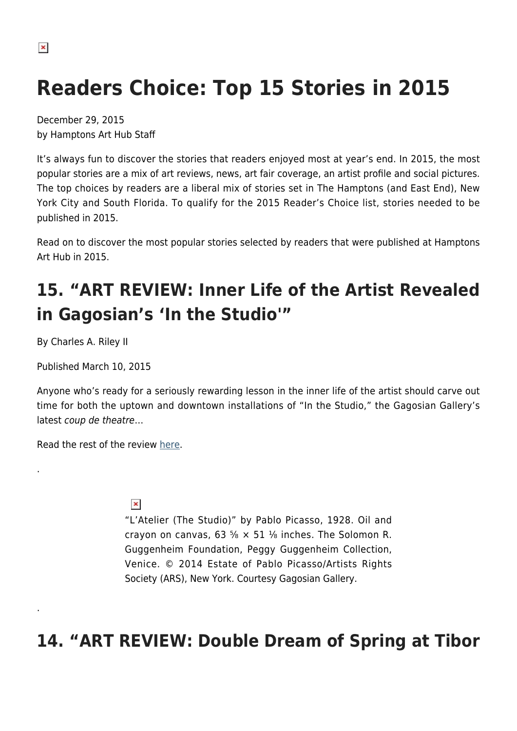# **Readers Choice: Top 15 Stories in 2015**

December 29, 2015 by Hamptons Art Hub Staff

It's always fun to discover the stories that readers enjoyed most at year's end. In 2015, the most popular stories are a mix of art reviews, news, art fair coverage, an artist profile and social pictures. The top choices by readers are a liberal mix of stories set in The Hamptons (and East End), New York City and South Florida. To qualify for the 2015 Reader's Choice list, stories needed to be published in 2015.

Read on to discover the most popular stories selected by readers that were published at Hamptons Art Hub in 2015.

# **15. "ART REVIEW: Inner Life of the Artist Revealed in Gagosian's 'In the Studio'"**

By Charles A. Riley II

.

.

Published March 10, 2015

Anyone who's ready for a seriously rewarding lesson in the inner life of the artist should carve out time for both the uptown and downtown installations of "In the Studio," the Gagosian Gallery's latest coup de theatre…

Read the rest of the review [here](https://hamptonsarthub.com/2015/03/10/inner-life-of-the-artist-on-view-in-gagosians-in-the-studio/).

#### $\pmb{\times}$

"L'Atelier (The Studio)" by Pablo Picasso, 1928. Oil and crayon on canvas, 63  $\frac{5}{8}$  × 51  $\frac{1}{8}$  inches. The Solomon R. Guggenheim Foundation, Peggy Guggenheim Collection, Venice. © 2014 Estate of Pablo Picasso/Artists Rights Society (ARS), New York. Courtesy Gagosian Gallery.

#### **14. "ART REVIEW: Double Dream of Spring at Tibor**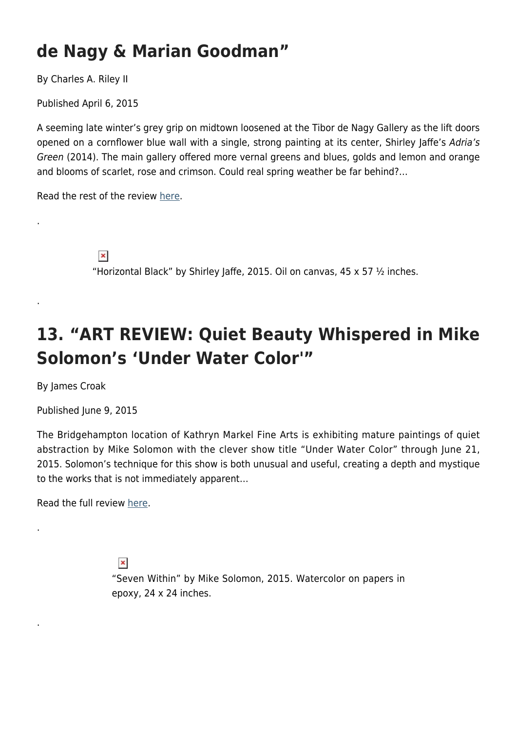#### **de Nagy & Marian Goodman"**

By Charles A. Riley II

Published April 6, 2015

A seeming late winter's grey grip on midtown loosened at the Tibor de Nagy Gallery as the lift doors opened on a cornflower blue wall with a single, strong painting at its center, Shirley Jaffe's Adria's Green (2014). The main gallery offered more vernal greens and blues, golds and lemon and orange and blooms of scarlet, rose and crimson. Could real spring weather be far behind?…

Read the rest of the review [here](https://hamptonsarthub.com/2015/04/06/double-dream-of-spring-at-tibor-de-nagy-and-marian-goodman/).

 $\pmb{\times}$ "Horizontal Black" by Shirley Jaffe, 2015. Oil on canvas, 45  $\times$  57  $\frac{1}{2}$  inches.

#### **13. "ART REVIEW: Quiet Beauty Whispered in Mike Solomon's 'Under Water Color'"**

By James Croak

.

.

.

.

Published June 9, 2015

The Bridgehampton location of Kathryn Markel Fine Arts is exhibiting mature paintings of quiet abstraction by Mike Solomon with the clever show title "Under Water Color" through June 21, 2015. Solomon's technique for this show is both unusual and useful, creating a depth and mystique to the works that is not immediately apparent…

Read the full review [here](https://hamptonsarthub.com/2015/06/09/art-review-quiet-beauty-whispered-in-mike-solomons-under-water-color/).

 $\pmb{\times}$ "Seven Within" by Mike Solomon, 2015. Watercolor on papers in epoxy, 24 x 24 inches.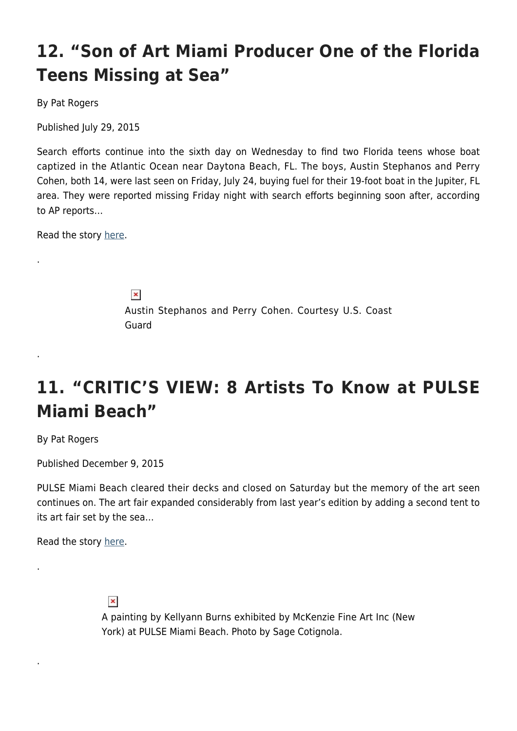# **12. "Son of Art Miami Producer One of the Florida Teens Missing at Sea"**

By Pat Rogers

Published July 29, 2015

Search efforts continue into the sixth day on Wednesday to find two Florida teens whose boat captized in the Atlantic Ocean near Daytona Beach, FL. The boys, Austin Stephanos and Perry Cohen, both 14, were last seen on Friday, July 24, buying fuel for their 19-foot boat in the Jupiter, FL area. They were reported missing Friday night with search efforts beginning soon after, according to AP reports…

Read the story [here](https://hamptonsarthub.com/2015/07/29/search-continues-for-florida-teens-missing-at-sea/).

.

.

.

.

 $\pmb{\times}$ Austin Stephanos and Perry Cohen. Courtesy U.S. Coast Guard

#### **11. "CRITIC'S VIEW: 8 Artists To Know at PULSE Miami Beach"**

By Pat Rogers

Published December 9, 2015

PULSE Miami Beach cleared their decks and closed on Saturday but the memory of the art seen continues on. The art fair expanded considerably from last year's edition by adding a second tent to its art fair set by the sea…

Read the story [here](https://hamptonsarthub.com/2015/12/09/8-artists-to-know-at-pulse-miami-beach/).



A painting by Kellyann Burns exhibited by McKenzie Fine Art Inc (New York) at PULSE Miami Beach. Photo by Sage Cotignola.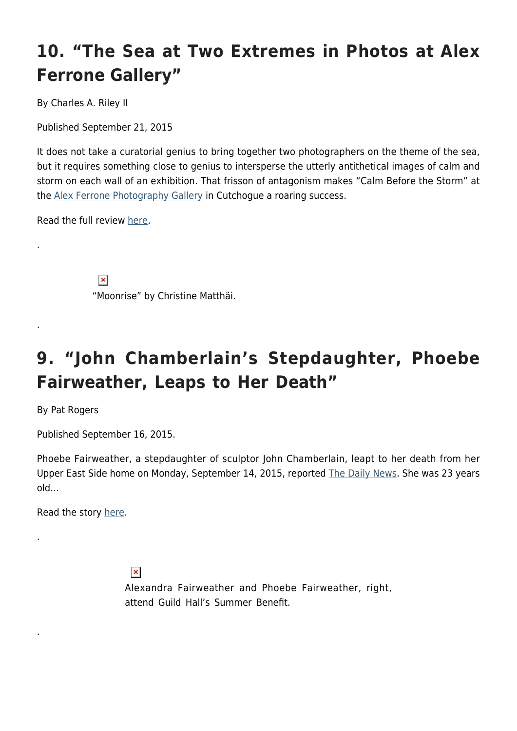# **10. "The Sea at Two Extremes in Photos at Alex Ferrone Gallery"**

By Charles A. Riley II

Published September 21, 2015

It does not take a curatorial genius to bring together two photographers on the theme of the sea, but it requires something close to genius to intersperse the utterly antithetical images of calm and storm on each wall of an exhibition. That frisson of antagonism makes "Calm Before the Storm" at the [Alex Ferrone Photography Gallery](http://www.alexferronegallery.com/) in Cutchogue a roaring success.

Read the full review [here](https://hamptonsarthub.com/2015/09/21/the-sea-at-two-extremes-in-photos-at-alex-ferrone-gallery/).

.

.

.

.

 $\pmb{\times}$ "Moonrise" by Christine Matthäi.

#### **9. "John Chamberlain's Stepdaughter, Phoebe Fairweather, Leaps to Her Death"**

By Pat Rogers

Published September 16, 2015.

Phoebe Fairweather, a stepdaughter of sculptor John Chamberlain, leapt to her death from her Upper East Side home on Monday, September 14, 2015, reported [The Daily News](http://www.nydailynews.com/new-york/woman-hospitalized-leap-park-ave-building-cops-article-1.2359768). She was 23 years old…

Read the story [here](https://hamptonsarthub.com/2015/09/16/john-chamberlains-stepdaughter-phoebe-fairweather-leaps-to-her-death/).

 $\pmb{\times}$ Alexandra Fairweather and Phoebe Fairweather, right, attend Guild Hall's Summer Benefit.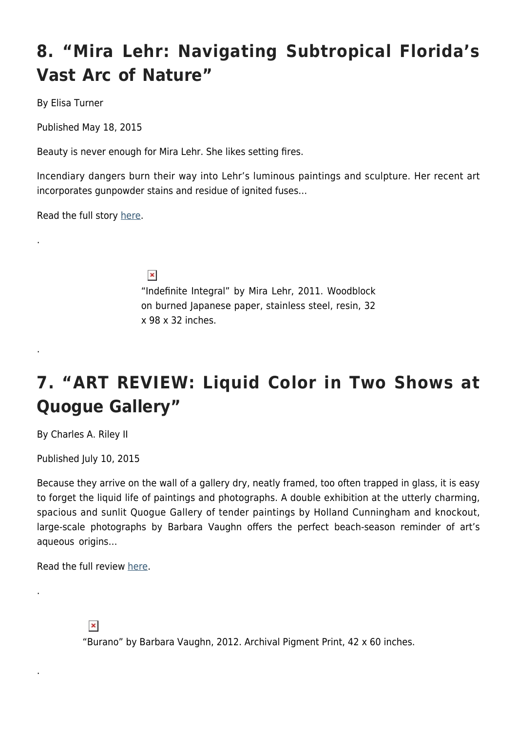# **8. "Mira Lehr: Navigating Subtropical Florida's Vast Arc of Nature"**

By Elisa Turner

Published May 18, 2015

Beauty is never enough for Mira Lehr. She likes setting fires.

Incendiary dangers burn their way into Lehr's luminous paintings and sculpture. Her recent art incorporates gunpowder stains and residue of ignited fuses…

Read the full story [here](https://hamptonsarthub.com/2015/05/18/mira-lehr-navigating-subtropical-floridas-vast-arc-of-nature/).

.

.

.

.

 $\pmb{\times}$ 

"Indefinite Integral" by Mira Lehr, 2011. Woodblock on burned Japanese paper, stainless steel, resin, 32 x 98 x 32 inches.

# **7. "ART REVIEW: Liquid Color in Two Shows at Quogue Gallery"**

By Charles A. Riley II

Published July 10, 2015

Because they arrive on the wall of a gallery dry, neatly framed, too often trapped in glass, it is easy to forget the liquid life of paintings and photographs. A double exhibition at the utterly charming, spacious and sunlit Quogue Gallery of tender paintings by Holland Cunningham and knockout, large-scale photographs by Barbara Vaughn offers the perfect beach-season reminder of art's aqueous origins…

Read the full review [here](https://hamptonsarthub.com/2015/07/10/liquid-color-in-two-shows-at-quogue-gallery/).



"Burano" by Barbara Vaughn, 2012. Archival Pigment Print, 42 x 60 inches.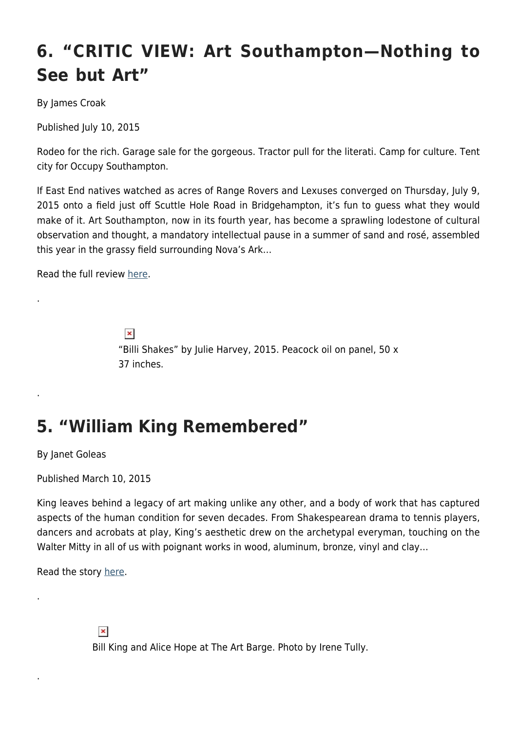# **6. "CRITIC VIEW: Art Southampton—Nothing to See but Art"**

By James Croak

Published July 10, 2015

Rodeo for the rich. Garage sale for the gorgeous. Tractor pull for the literati. Camp for culture. Tent city for Occupy Southampton.

If East End natives watched as acres of Range Rovers and Lexuses converged on Thursday, July 9, 2015 onto a field just off Scuttle Hole Road in Bridgehampton, it's fun to guess what they would make of it. Art Southampton, now in its fourth year, has become a sprawling lodestone of cultural observation and thought, a mandatory intellectual pause in a summer of sand and rosé, assembled this year in the grassy field surrounding Nova's Ark…

Read the full review [here](https://hamptonsarthub.com/2015/07/10/art-southampton-nothing-to-see-but-art/).

.

.

.

.

 $\pmb{\times}$ "Billi Shakes" by Julie Harvey, 2015. Peacock oil on panel, 50 x 37 inches.

#### **5. "William King Remembered"**

By Janet Goleas

Published March 10, 2015

King leaves behind a legacy of art making unlike any other, and a body of work that has captured aspects of the human condition for seven decades. From Shakespearean drama to tennis players, dancers and acrobats at play, King's aesthetic drew on the archetypal everyman, touching on the Walter Mitty in all of us with poignant works in wood, aluminum, bronze, vinyl and clay...

Read the story [here](https://hamptonsarthub.com/2015/03/10/william-king-remembered/).

 $\pmb{\times}$ Bill King and Alice Hope at The Art Barge. Photo by Irene Tully.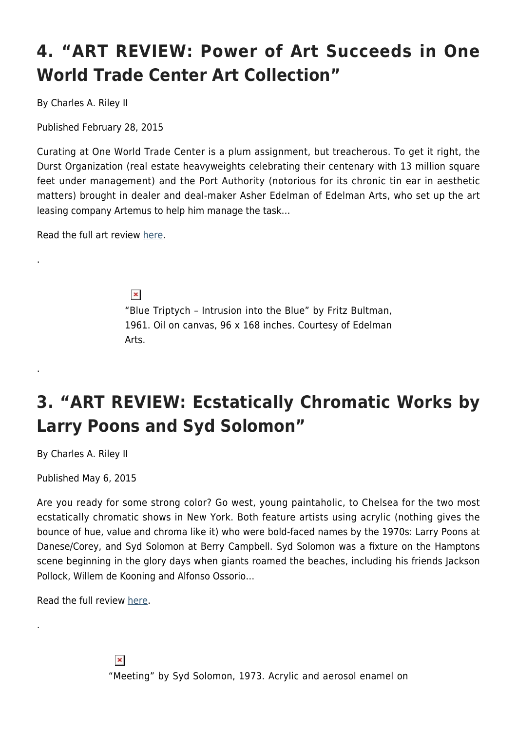# **4. "ART REVIEW: Power of Art Succeeds in One World Trade Center Art Collection"**

By Charles A. Riley II

Published February 28, 2015

Curating at One World Trade Center is a plum assignment, but treacherous. To get it right, the Durst Organization (real estate heavyweights celebrating their centenary with 13 million square feet under management) and the Port Authority (notorious for its chronic tin ear in aesthetic matters) brought in dealer and deal-maker Asher Edelman of Edelman Arts, who set up the art leasing company Artemus to help him manage the task…

Read the full art review [here.](https://hamptonsarthub.com/2015/02/28/art-review-power-of-art-succeeds-in-one-world-trade-center-art-collection/)

.

.

.

 $\pmb{\times}$ "Blue Triptych – Intrusion into the Blue" by Fritz Bultman, 1961. Oil on canvas, 96 x 168 inches. Courtesy of Edelman Arts.

# **3. "ART REVIEW: Ecstatically Chromatic Works by Larry Poons and Syd Solomon"**

By Charles A. Riley II

Published May 6, 2015

Are you ready for some strong color? Go west, young paintaholic, to Chelsea for the two most ecstatically chromatic shows in New York. Both feature artists using acrylic (nothing gives the bounce of hue, value and chroma like it) who were bold-faced names by the 1970s: Larry Poons at Danese/Corey, and Syd Solomon at Berry Campbell. Syd Solomon was a fixture on the Hamptons scene beginning in the glory days when giants roamed the beaches, including his friends Jackson Pollock, Willem de Kooning and Alfonso Ossorio…

Read the full review [here](https://hamptonsarthub.com/2015/05/06/ecstatically-chromatic-works-by-larry-poons-and-syd-solomon/).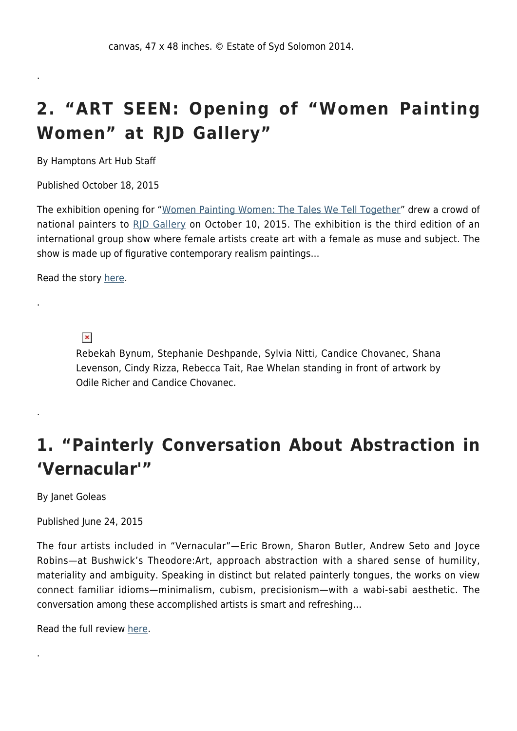#### **2. "ART SEEN: Opening of "Women Painting Women" at RJD Gallery"**

By Hamptons Art Hub Staff

.

.

.

.

Published October 18, 2015

The exhibition opening for "[Women Painting Women: The Tales We Tell Together](https://hamptonsarthub.com/2015/10/03/women-painting-women-at-rjd-gallery/)" drew a crowd of national painters to [RJD Gallery](http://rjdgallery.com/) on October 10, 2015. The exhibition is the third edition of an international group show where female artists create art with a female as muse and subject. The show is made up of figurative contemporary realism paintings…

Read the story [here](https://hamptonsarthub.com/2015/10/18/art-seen-opening-of-women-painting-women-at-rjd-gallery/).

 $\pmb{\times}$ 

Rebekah Bynum, Stephanie Deshpande, Sylvia Nitti, Candice Chovanec, Shana Levenson, Cindy Rizza, Rebecca Tait, Rae Whelan standing in front of artwork by Odile Richer and Candice Chovanec.

#### **1. "Painterly Conversation About Abstraction in 'Vernacular'"**

By Janet Goleas

Published June 24, 2015

The four artists included in "Vernacular"—Eric Brown, Sharon Butler, Andrew Seto and Joyce Robins—at Bushwick's Theodore:Art, approach abstraction with a shared sense of humility, materiality and ambiguity. Speaking in distinct but related painterly tongues, the works on view connect familiar idioms—minimalism, cubism, precisionism—with a wabi-sabi aesthetic. The conversation among these accomplished artists is smart and refreshing…

Read the full review [here](https://hamptonsarthub.com/2015/06/24/painterly-conversation-about-abstraction-in-vernacular/).